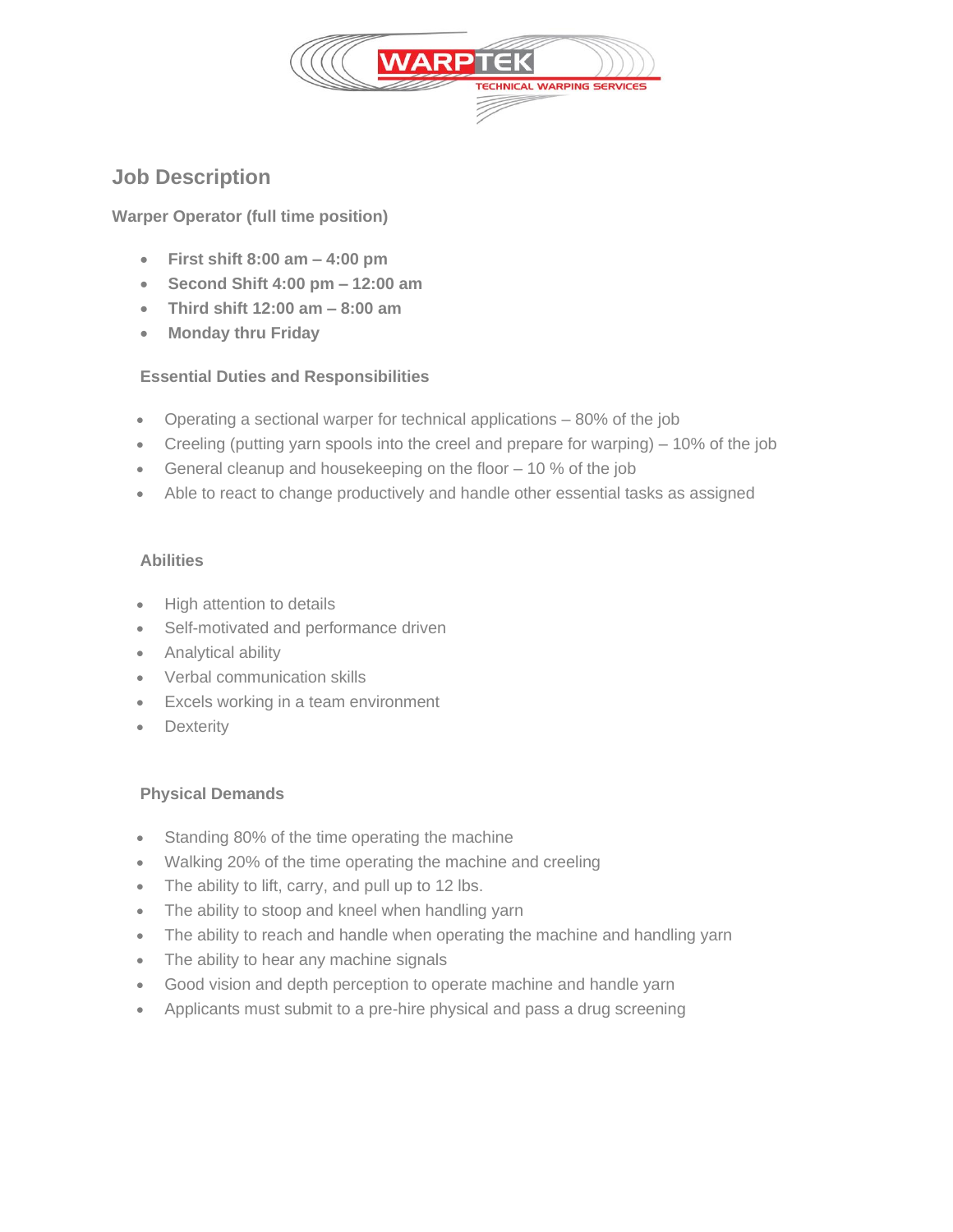

# **Job Description**

## **Warper Operator (full time position)**

- **First shift 8:00 am – 4:00 pm**
- **Second Shift 4:00 pm – 12:00 am**
- **Third shift 12:00 am – 8:00 am**
- **Monday thru Friday**

## **Essential Duties and Responsibilities**

- Operating a sectional warper for technical applications 80% of the job
- Creeling (putting yarn spools into the creel and prepare for warping) 10% of the job
- General cleanup and housekeeping on the floor 10 % of the job
- Able to react to change productively and handle other essential tasks as assigned

#### **Abilities**

- High attention to details
- Self-motivated and performance driven
- Analytical ability
- Verbal communication skills
- Excels working in a team environment
- **Dexterity**

#### **Physical Demands**

- Standing 80% of the time operating the machine
- Walking 20% of the time operating the machine and creeling
- The ability to lift, carry, and pull up to 12 lbs.
- The ability to stoop and kneel when handling yarn
- The ability to reach and handle when operating the machine and handling yarn
- The ability to hear any machine signals
- Good vision and depth perception to operate machine and handle yarn
- Applicants must submit to a pre-hire physical and pass a drug screening